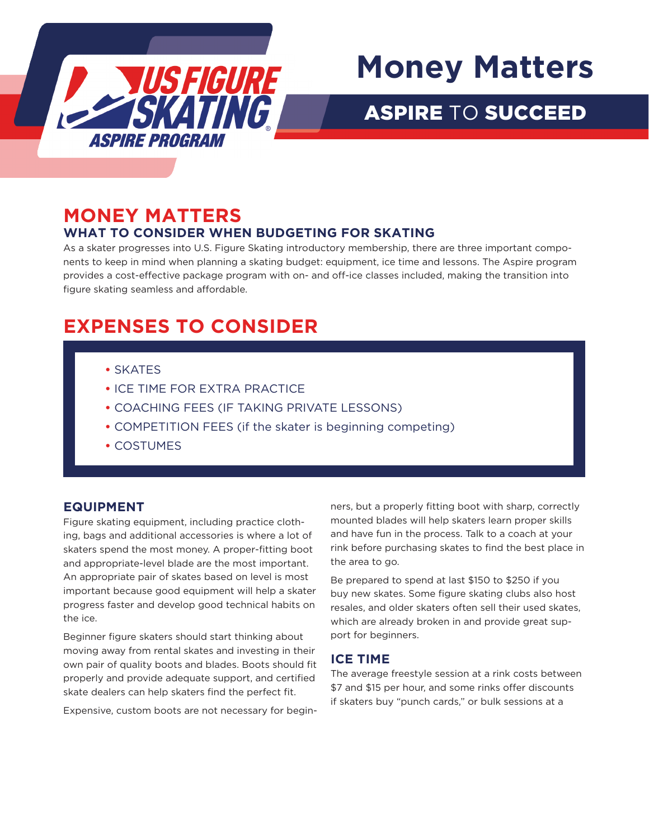

# **Money Matters**

## ASPIRE TO SUCCEED

### **MONEY MATTERS WHAT TO CONSIDER WHEN BUDGETING FOR SKATING**

As a skater progresses into U.S. Figure Skating introductory membership, there are three important components to keep in mind when planning a skating budget: equipment, ice time and lessons. The Aspire program provides a cost-effective package program with on- and off-ice classes included, making the transition into figure skating seamless and affordable.

## **EXPENSES TO CONSIDER**

- **•** SKATES
- **•** ICE TIME FOR EXTRA PRACTICE
- **•** COACHING FEES (IF TAKING PRIVATE LESSONS)
- **•** COMPETITION FEES (if the skater is beginning competing)
- **•** COSTUMES

#### **EQUIPMENT**

Figure skating equipment, including practice clothing, bags and additional accessories is where a lot of skaters spend the most money. A proper-fitting boot and appropriate-level blade are the most important. An appropriate pair of skates based on level is most important because good equipment will help a skater progress faster and develop good technical habits on the ice.

Beginner figure skaters should start thinking about moving away from rental skates and investing in their own pair of quality boots and blades. Boots should fit properly and provide adequate support, and certified skate dealers can help skaters find the perfect fit.

Expensive, custom boots are not necessary for begin-

ners, but a properly fitting boot with sharp, correctly mounted blades will help skaters learn proper skills and have fun in the process. Talk to a coach at your rink before purchasing skates to find the best place in the area to go.

Be prepared to spend at last \$150 to \$250 if you buy new skates. Some figure skating clubs also host resales, and older skaters often sell their used skates, which are already broken in and provide great support for beginners.

#### **ICE TIME**

The average freestyle session at a rink costs between \$7 and \$15 per hour, and some rinks offer discounts if skaters buy "punch cards," or bulk sessions at a